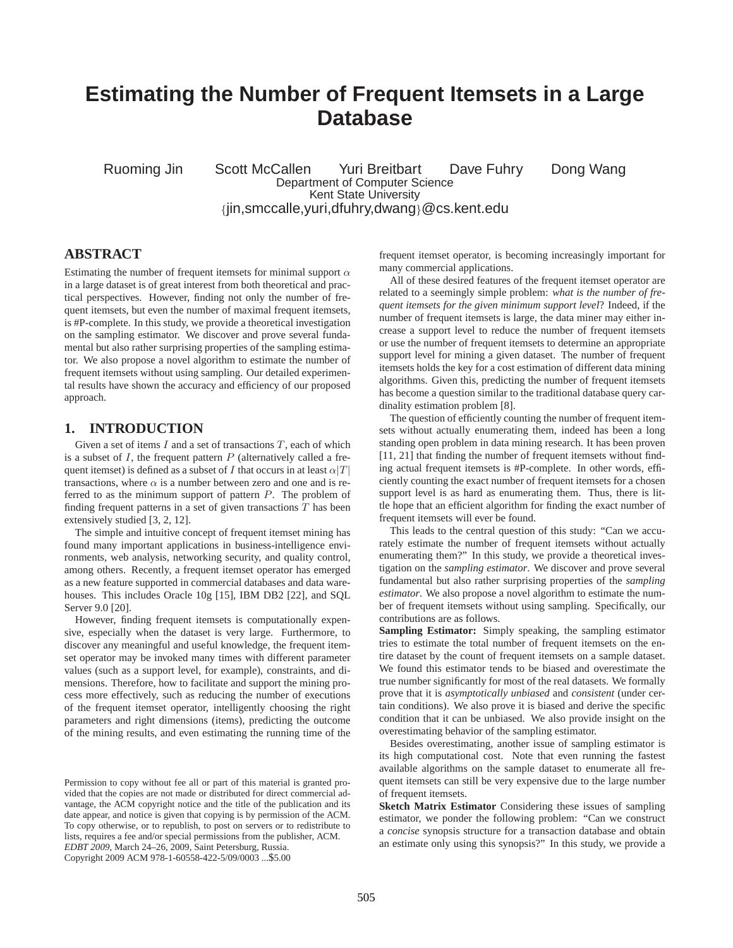# **Estimating the Number of Frequent Itemsets in a Large Database**

Ruoming Jin Scott McCallen Yuri Breitbart Dave Fuhry Dong Wang Department of Computer Science Kent State University {jin,smccalle,yuri,dfuhry,dwang}@cs.kent.edu

# **ABSTRACT**

Estimating the number of frequent itemsets for minimal support  $\alpha$ in a large dataset is of great interest from both theoretical and practical perspectives. However, finding not only the number of frequent itemsets, but even the number of maximal frequent itemsets, is #P-complete. In this study, we provide a theoretical investigation on the sampling estimator. We discover and prove several fundamental but also rather surprising properties of the sampling estimator. We also propose a novel algorithm to estimate the number of frequent itemsets without using sampling. Our detailed experimental results have shown the accuracy and efficiency of our proposed approach.

# **1. INTRODUCTION**

Given a set of items  $I$  and a set of transactions  $T$ , each of which is a subset of  $I$ , the frequent pattern  $P$  (alternatively called a frequent itemset) is defined as a subset of I that occurs in at least  $\alpha|T|$ transactions, where  $\alpha$  is a number between zero and one and is referred to as the minimum support of pattern P. The problem of finding frequent patterns in a set of given transactions  $T$  has been extensively studied [3, 2, 12].

The simple and intuitive concept of frequent itemset mining has found many important applications in business-intelligence environments, web analysis, networking security, and quality control, among others. Recently, a frequent itemset operator has emerged as a new feature supported in commercial databases and data warehouses. This includes Oracle 10g [15], IBM DB2 [22], and SQL Server 9.0 [20].

However, finding frequent itemsets is computationally expensive, especially when the dataset is very large. Furthermore, to discover any meaningful and useful knowledge, the frequent itemset operator may be invoked many times with different parameter values (such as a support level, for example), constraints, and dimensions. Therefore, how to facilitate and support the mining process more effectively, such as reducing the number of executions of the frequent itemset operator, intelligently choosing the right parameters and right dimensions (items), predicting the outcome of the mining results, and even estimating the running time of the

Permission to copy without fee all or part of this material is granted provided that the copies are not made or distributed for direct commercial advantage, the ACM copyright notice and the title of the publication and its date appear, and notice is given that copying is by permission of the ACM. To copy otherwise, or to republish, to post on servers or to redistribute to lists, requires a fee and/or special permissions from the publisher, ACM. *EDBT 2009*, March 24–26, 2009, Saint Petersburg, Russia. Copyright 2009 ACM 978-1-60558-422-5/09/0003 ...\$5.00

frequent itemset operator, is becoming increasingly important for many commercial applications.

All of these desired features of the frequent itemset operator are related to a seemingly simple problem: *what is the number of frequent itemsets for the given minimum support level*? Indeed, if the number of frequent itemsets is large, the data miner may either increase a support level to reduce the number of frequent itemsets or use the number of frequent itemsets to determine an appropriate support level for mining a given dataset. The number of frequent itemsets holds the key for a cost estimation of different data mining algorithms. Given this, predicting the number of frequent itemsets has become a question similar to the traditional database query cardinality estimation problem [8].

The question of efficiently counting the number of frequent itemsets without actually enumerating them, indeed has been a long standing open problem in data mining research. It has been proven [11, 21] that finding the number of frequent itemsets without finding actual frequent itemsets is #P-complete. In other words, efficiently counting the exact number of frequent itemsets for a chosen support level is as hard as enumerating them. Thus, there is little hope that an efficient algorithm for finding the exact number of frequent itemsets will ever be found.

This leads to the central question of this study: "Can we accurately estimate the number of frequent itemsets without actually enumerating them?" In this study, we provide a theoretical investigation on the *sampling estimator*. We discover and prove several fundamental but also rather surprising properties of the *sampling estimator*. We also propose a novel algorithm to estimate the number of frequent itemsets without using sampling. Specifically, our contributions are as follows.

**Sampling Estimator:** Simply speaking, the sampling estimator tries to estimate the total number of frequent itemsets on the entire dataset by the count of frequent itemsets on a sample dataset. We found this estimator tends to be biased and overestimate the true number significantly for most of the real datasets. We formally prove that it is *asymptotically unbiased* and *consistent* (under certain conditions). We also prove it is biased and derive the specific condition that it can be unbiased. We also provide insight on the overestimating behavior of the sampling estimator.

Besides overestimating, another issue of sampling estimator is its high computational cost. Note that even running the fastest available algorithms on the sample dataset to enumerate all frequent itemsets can still be very expensive due to the large number of frequent itemsets.

**Sketch Matrix Estimator** Considering these issues of sampling estimator, we ponder the following problem: "Can we construct a *concise* synopsis structure for a transaction database and obtain an estimate only using this synopsis?" In this study, we provide a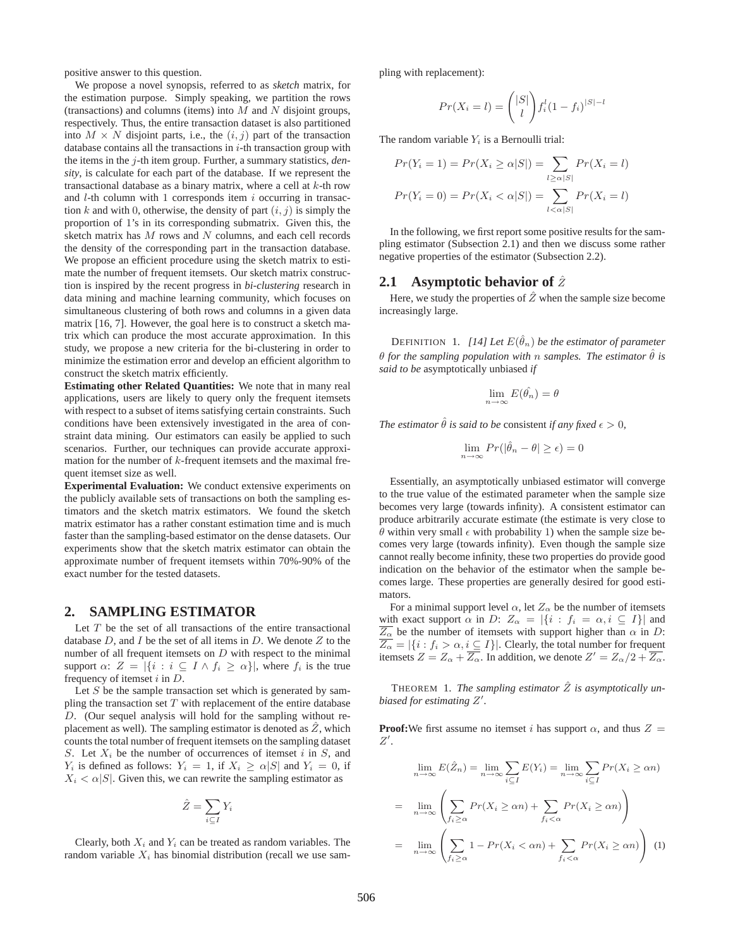positive answer to this question.

We propose a novel synopsis, referred to as *sketch* matrix, for the estimation purpose. Simply speaking, we partition the rows (transactions) and columns (items) into  $M$  and  $N$  disjoint groups, respectively. Thus, the entire transaction dataset is also partitioned into  $M \times N$  disjoint parts, i.e., the  $(i, j)$  part of the transaction database contains all the transactions in  $i$ -th transaction group with the items in the j-th item group. Further, a summary statistics, *density*, is calculate for each part of the database. If we represent the transactional database as a binary matrix, where a cell at  $k$ -th row and  $l$ -th column with 1 corresponds item  $i$  occurring in transaction k and with 0, otherwise, the density of part  $(i, j)$  is simply the proportion of 1's in its corresponding submatrix. Given this, the sketch matrix has  $M$  rows and  $N$  columns, and each cell records the density of the corresponding part in the transaction database. We propose an efficient procedure using the sketch matrix to estimate the number of frequent itemsets. Our sketch matrix construction is inspired by the recent progress in *bi-clustering* research in data mining and machine learning community, which focuses on simultaneous clustering of both rows and columns in a given data matrix [16, 7]. However, the goal here is to construct a sketch matrix which can produce the most accurate approximation. In this study, we propose a new criteria for the bi-clustering in order to minimize the estimation error and develop an efficient algorithm to construct the sketch matrix efficiently.

**Estimating other Related Quantities:** We note that in many real applications, users are likely to query only the frequent itemsets with respect to a subset of items satisfying certain constraints. Such conditions have been extensively investigated in the area of constraint data mining. Our estimators can easily be applied to such scenarios. Further, our techniques can provide accurate approximation for the number of  $k$ -frequent itemsets and the maximal frequent itemset size as well.

**Experimental Evaluation:** We conduct extensive experiments on the publicly available sets of transactions on both the sampling estimators and the sketch matrix estimators. We found the sketch matrix estimator has a rather constant estimation time and is much faster than the sampling-based estimator on the dense datasets. Our experiments show that the sketch matrix estimator can obtain the approximate number of frequent itemsets within 70%-90% of the exact number for the tested datasets.

# **2. SAMPLING ESTIMATOR**

Let  $T$  be the set of all transactions of the entire transactional database  $D$ , and  $I$  be the set of all items in  $D$ . We denote  $Z$  to the number of all frequent itemsets on  $D$  with respect to the minimal support  $\alpha: Z = |\{i : i \subseteq I \land f_i \geq \alpha\}|$ , where  $f_i$  is the true frequency of itemset  $i$  in  $D$ .

Let  $S$  be the sample transaction set which is generated by sampling the transaction set  $T$  with replacement of the entire database D. (Our sequel analysis will hold for the sampling without replacement as well). The sampling estimator is denoted as  $\hat{Z}$ , which counts the total number of frequent itemsets on the sampling dataset S. Let  $X_i$  be the number of occurrences of itemset i in S, and  $Y_i$  is defined as follows:  $Y_i = 1$ , if  $X_i \ge \alpha |S|$  and  $Y_i = 0$ , if  $X_i < \alpha |S|$ . Given this, we can rewrite the sampling estimator as

$$
\hat{Z} = \sum_{i \subseteq I} Y_i
$$

Clearly, both  $X_i$  and  $Y_i$  can be treated as random variables. The random variable  $X_i$  has binomial distribution (recall we use sampling with replacement):

$$
Pr(X_i = l) = \binom{|S|}{l} f_i^l (1 - f_i)^{|S| - l}
$$

The random variable  $Y_i$  is a Bernoulli trial:

$$
Pr(Y_i = 1) = Pr(X_i \ge \alpha | S|) = \sum_{l \ge \alpha |S|} Pr(X_i = l)
$$

$$
Pr(Y_i = 0) = Pr(X_i < \alpha |S|) = \sum_{l < \alpha |S|} Pr(X_i = l)
$$

In the following, we first report some positive results for the sampling estimator (Subsection 2.1) and then we discuss some rather negative properties of the estimator (Subsection 2.2).

### **2.1** Asymptotic behavior of  $\hat{Z}$

Here, we study the properties of  $\hat{Z}$  when the sample size become increasingly large.

DEFINITION 1. *[14] Let*  $E(\hat{\theta}_n)$  *be the estimator of parameter*  $\theta$  *for the sampling population with n samples. The estimator*  $\hat{\theta}$  *is said to be* asymptotically unbiased *if*

$$
\lim_{n \to \infty} E(\hat{\theta_n}) = \theta
$$

*The estimator*  $\hat{\theta}$  *is said to be consistent if any fixed*  $\epsilon > 0$ *,* 

$$
\lim_{n \to \infty} Pr(|\hat{\theta}_n - \theta| \ge \epsilon) = 0
$$

Essentially, an asymptotically unbiased estimator will converge to the true value of the estimated parameter when the sample size becomes very large (towards infinity). A consistent estimator can produce arbitrarily accurate estimate (the estimate is very close to  $θ$  within very small  $ε$  with probability 1) when the sample size becomes very large (towards infinity). Even though the sample size cannot really become infinity, these two properties do provide good indication on the behavior of the estimator when the sample becomes large. These properties are generally desired for good estimators.

For a minimal support level  $\alpha$ , let  $Z_{\alpha}$  be the number of itemsets with exact support  $\alpha$  in D:  $Z_{\alpha} = |\{i : f_i = \alpha, i \subseteq I\}|$  and  $\overline{Z_{\alpha}}$  be the number of itemsets with support higher than  $\alpha$  in D:  $Z_{\alpha} = |\{i : f_i > \alpha, i \subseteq I\}|$ . Clearly, the total number for frequent itemsets  $Z = Z_{\alpha} + \overline{Z_{\alpha}}$ . In addition, we denote  $Z' = Z_{\alpha}/2 + \overline{Z_{\alpha}}$ .

THEOREM 1. The sampling estimator  $\hat{Z}$  is asymptotically un*biased for estimating* Z ′ *.*

**Proof:**We first assume no itemset i has support  $\alpha$ , and thus  $Z =$  $Z'$ .

$$
\lim_{n \to \infty} E(\hat{Z}_n) = \lim_{n \to \infty} \sum_{i \subseteq I} E(Y_i) = \lim_{n \to \infty} \sum_{i \subseteq I} Pr(X_i \ge \alpha n)
$$

$$
= \lim_{n \to \infty} \left( \sum_{f_i \ge \alpha} Pr(X_i \ge \alpha n) + \sum_{f_i < \alpha} Pr(X_i \ge \alpha n) \right)
$$

$$
= \lim_{n \to \infty} \left( \sum_{f_i \ge \alpha} 1 - Pr(X_i < \alpha n) + \sum_{f_i < \alpha} Pr(X_i \ge \alpha n) \right) (1)
$$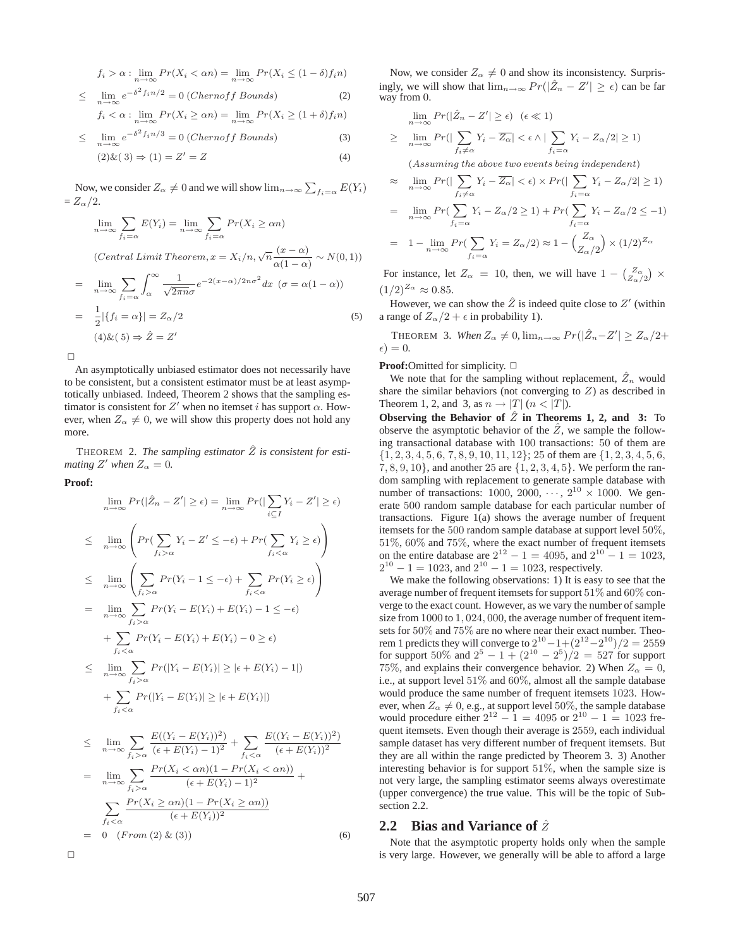$$
f_i > \alpha : \lim_{n \to \infty} Pr(X_i < \alpha n) = \lim_{n \to \infty} Pr(X_i \le (1 - \delta) f_i n)
$$

$$
\leq \lim_{n \to \infty} e^{-\delta^2 f_i n/2} = 0 \ (Chernoff\,Bounds) \tag{2}
$$

$$
f_i < \alpha : \lim_{n \to \infty} \Pr(X_i \ge \alpha n) = \lim_{n \to \infty} \Pr(X_i \ge (1 + \delta) f_i n)
$$

$$
\leq \lim_{n \to \infty} e^{-\delta^2 f_i n/3} = 0 \text{ (Chernoff Bounds)} \tag{3}
$$
\n
$$
(2)\& (3) \Rightarrow (1) = Z' = Z \tag{4}
$$

Now, we consider  $Z_{\alpha} \neq 0$  and we will show  $\lim_{n \to \infty} \sum_{f_i = \alpha} E(Y_i)$  $= Z_{\alpha}/2.$ 

$$
\lim_{n \to \infty} \sum_{f_i = \alpha} E(Y_i) = \lim_{n \to \infty} \sum_{f_i = \alpha} Pr(X_i \ge \alpha n)
$$
  
(Central Limit Theorem,  $x = X_i/n$ ,  $\sqrt{n} \frac{(x - \alpha)}{\alpha(1 - \alpha)} \sim N(0, 1)$ )  

$$
= \lim_{n \to \infty} \sum_{f_i = \alpha} \int_{\alpha}^{\infty} \frac{1}{\sqrt{2\pi n} \sigma} e^{-2(x - \alpha)/2n\sigma^2} dx \quad (\sigma = \alpha(1 - \alpha))
$$

$$
= \frac{1}{2} |\{f_i = \alpha\}| = Z_{\alpha}/2
$$
  
(4)&(5)  $\Rightarrow \hat{Z} = Z'$  (5)

 $\Box$ 

An asymptotically unbiased estimator does not necessarily have to be consistent, but a consistent estimator must be at least asymptotically unbiased. Indeed, Theorem 2 shows that the sampling estimator is consistent for  $Z'$  when no itemset i has support  $\alpha$ . However, when  $Z_{\alpha} \neq 0$ , we will show this property does not hold any more.

THEOREM 2. The sampling estimator  $\hat{Z}$  is consistent for esti*mating*  $Z'$  *when*  $Z_{\alpha} = 0$ *.* 

#### **Proof:**

 $\Box$ 

$$
\lim_{n \to \infty} Pr(|\hat{Z}_n - Z'| \geq \epsilon) = \lim_{n \to \infty} Pr(|\sum_{i \subseteq I} Y_i - Z'| \geq \epsilon)
$$
\n
$$
\leq \lim_{n \to \infty} \left( Pr(\sum_{f_i > \alpha} Y_i - Z' \leq -\epsilon) + Pr(\sum_{f_i < \alpha} Y_i \geq \epsilon) \right)
$$
\n
$$
\leq \lim_{n \to \infty} \left( \sum_{f_i > \alpha} Pr(Y_i - 1 \leq -\epsilon) + \sum_{f_i < \alpha} Pr(Y_i \geq \epsilon) \right)
$$
\n
$$
= \lim_{n \to \infty} \sum_{f_i > \alpha} Pr(Y_i - E(Y_i) + E(Y_i) - 1 \leq -\epsilon)
$$
\n
$$
+ \sum_{f_i < \alpha} Pr(Y_i - E(Y_i) + E(Y_i) - 0 \geq \epsilon)
$$
\n
$$
\leq \lim_{n \to \infty} \sum_{f_i > \alpha} Pr(|Y_i - E(Y_i)| \geq |\epsilon + E(Y_i) - 1|)
$$
\n
$$
+ \sum_{f_i < \alpha} Pr(|Y_i - E(Y_i)| \geq |\epsilon + E(Y_i)|)
$$

$$
\leq \lim_{n \to \infty} \sum_{f_i > \alpha} \frac{E((Y_i - E(Y_i))^2)}{(\epsilon + E(Y_i) - 1)^2} + \sum_{f_i < \alpha} \frac{E((Y_i - E(Y_i))^2)}{(\epsilon + E(Y_i))^2}
$$
\n
$$
= \lim_{n \to \infty} \sum_{f_i > \alpha} \frac{Pr(X_i < \alpha n)(1 - Pr(X_i < \alpha n))}{(\epsilon + E(Y_i) - 1)^2} + \sum_{f_i < \alpha} \frac{Pr(X_i \geq \alpha n)(1 - Pr(X_i \geq \alpha n))}{(\epsilon + E(Y_i))^2}
$$
\n
$$
= 0 \quad (From (2) & (3)) \tag{6}
$$

Now, we consider  $Z_{\alpha} \neq 0$  and show its inconsistency. Surprisingly, we will show that  $\lim_{n\to\infty} Pr(|\hat{Z}_n - Z'| \geq \epsilon)$  can be far way from 0.

$$
\lim_{n \to \infty} Pr(|\hat{Z}_n - Z'| \ge \epsilon) \quad (\epsilon \ll 1)
$$
\n
$$
\ge \lim_{n \to \infty} Pr(|\sum_{f_i \ne \alpha} Y_i - \overline{Z_\alpha}| < \epsilon \land |\sum_{f_i = \alpha} Y_i - \overline{Z_\alpha}/2| \ge 1)
$$
\n(Assuming the above two events being independent)

$$
\approx \lim_{n \to \infty} Pr(|\sum_{f_i \neq \alpha} Y_i - \overline{Z_{\alpha}}| < \epsilon) \times Pr(|\sum_{f_i = \alpha} Y_i - Z_{\alpha}/2| \ge 1)
$$
  
\n
$$
= \lim_{n \to \infty} Pr(\sum_{f_i = \alpha} Y_i - Z_{\alpha}/2 \ge 1) + Pr(\sum_{f_i = \alpha} Y_i - Z_{\alpha}/2 \le -1)
$$
  
\n
$$
= 1 - \lim_{n \to \infty} Pr(\sum_{f_i = \alpha} Y_i = Z_{\alpha}/2) \approx 1 - \left(\frac{Z_{\alpha}}{Z_{\alpha}/2}\right) \times (1/2)^{Z_{\alpha}}
$$

For instance, let  $Z_{\alpha} = 10$ , then, we will have  $1 - \binom{Z_{\alpha}}{Z_{\alpha}/2} \times$  $(1/2)^{Z_{\alpha}} \approx 0.85.$ 

However, we can show the  $\hat{Z}$  is indeed quite close to  $Z'$  (within a range of  $Z_{\alpha}/2 + \epsilon$  in probability 1).

THEOREM 3. *When*  $Z_{\alpha} \neq 0$ ,  $\lim_{n \to \infty} Pr(|\hat{Z}_n - Z'| \geq Z_{\alpha}/2 + \dots)$  $\epsilon$ ) = 0.

#### **Proof:**Omitted for simplicity. □

We note that for the sampling without replacement,  $Z_n$  would share the similar behaviors (not converging to  $Z$ ) as described in Theorem 1, 2, and 3, as  $n \rightarrow |T|$   $(n < |T|)$ .

**Observing the Behavior of**  $\hat{Z}$  in Theorems 1, 2, and 3: To observe the asymptotic behavior of the  $Z$ , we sample the following transactional database with 100 transactions: 50 of them are  $\{1, 2, 3, 4, 5, 6, 7, 8, 9, 10, 11, 12\}$ ; 25 of them are  $\{1, 2, 3, 4, 5, 6,$ 7, 8, 9, 10}, and another 25 are {1, 2, 3, 4, 5}. We perform the random sampling with replacement to generate sample database with number of transactions: 1000, 2000,  $\cdots$ ,  $2^{10} \times 1000$ . We generate 500 random sample database for each particular number of transactions. Figure 1(a) shows the average number of frequent itemsets for the 500 random sample database at support level 50%, 51%, 60% and 75%, where the exact number of frequent itemsets on the entire database are  $2^{12} - 1 = 4095$ , and  $2^{10} - 1 = 1023$ ,  $2^{10} - 1 = 1023$ , and  $2^{10} - 1 = 1023$ , respectively.

We make the following observations: 1) It is easy to see that the average number of frequent itemsets for support 51% and 60% converge to the exact count. However, as we vary the number of sample size from 1000 to 1, 024, 000, the average number of frequent itemsets for 50% and 75% are no where near their exact number. Theorem 1 predicts they will converge to  $2^{10} - 1 + (2^{12} - 2^{10})/2 = 2559$ for support  $50\%$  and  $2^5 - 1 + (2^{10} - 2^5)/2 = 527$  for support 75%, and explains their convergence behavior. 2) When  $Z_{\alpha} = 0$ , i.e., at support level 51% and 60%, almost all the sample database would produce the same number of frequent itemsets 1023. However, when  $Z_{\alpha} \neq 0$ , e.g., at support level 50%, the sample database would procedure either  $2^{12} - 1 = 4095$  or  $2^{10} - 1 = 1023$  frequent itemsets. Even though their average is 2559, each individual sample dataset has very different number of frequent itemsets. But they are all within the range predicted by Theorem 3. 3) Another interesting behavior is for support 51%, when the sample size is not very large, the sampling estimator seems always overestimate (upper convergence) the true value. This will be the topic of Subsection 2.2.

#### **2.2 Bias and Variance of**  $\hat{z}$

Note that the asymptotic property holds only when the sample is very large. However, we generally will be able to afford a large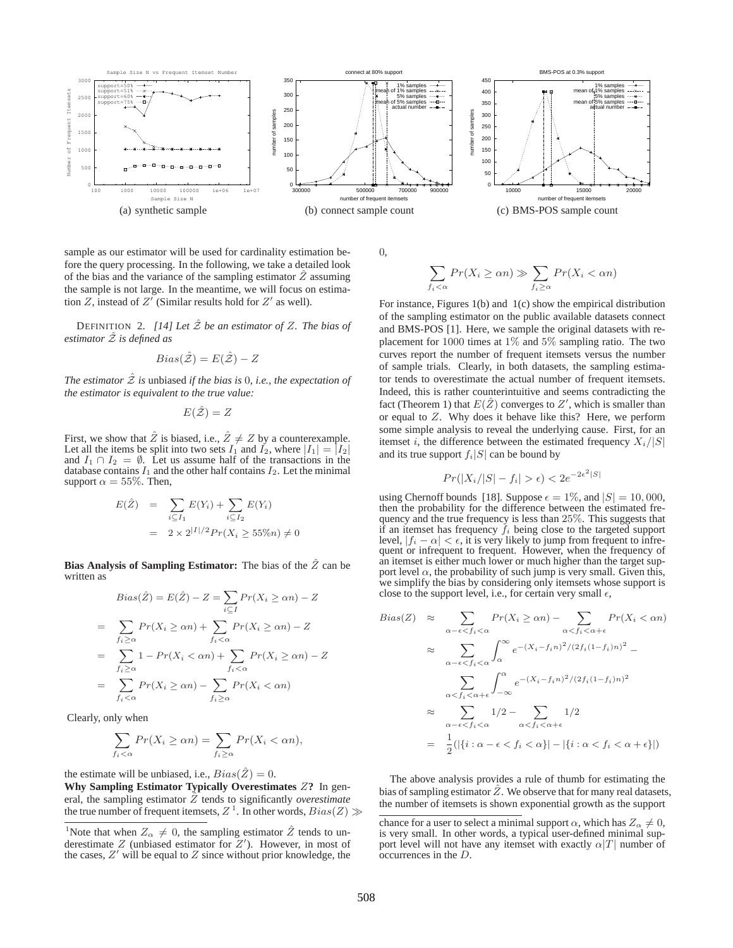

sample as our estimator will be used for cardinality estimation before the query processing. In the following, we take a detailed look of the bias and the variance of the sampling estimator  $Z$  assuming the sample is not large. In the meantime, we will focus on estimation Z, instead of  $Z'$  (Similar results hold for  $Z'$  as well).

DEFINITION 2. *[14] Let*  $\hat{Z}$  *be an estimator of Z. The bias of estimator*  $\hat{Z}$  *is defined as* 

$$
Bias(\hat{\mathcal{Z}}) = E(\hat{\mathcal{Z}}) - Z
$$

*The estimator*  $\hat{Z}$  *is* unbiased *if the bias is* 0*, i.e., the expectation of the estimator is equivalent to the true value:*

 $E(\hat{\mathcal{Z}}) = Z$ 

First, we show that  $\hat{Z}$  is biased, i.e.,  $\hat{Z} \neq Z$  by a counterexample. Let all the items be split into two sets  $I_1$  and  $I_2$ , where  $|I_1| = |I_2|$ and  $I_1 \cap I_2 = \emptyset$ . Let us assume half of the transactions in the database contains  $I_1$  and the other half contains  $I_2$ . Let the minimal support  $\alpha = 55\%$ . Then,

$$
E(\hat{Z}) = \sum_{i \subseteq I_1} E(Y_i) + \sum_{i \subseteq I_2} E(Y_i)
$$
  
=  $2 \times 2^{|I|/2} Pr(X_i \ge 55\%n) \ne 0$ 

**Bias Analysis of Sampling Estimator:** The bias of the  $\hat{Z}$  can be written as

$$
Bias(\hat{Z}) = E(\hat{Z}) - Z = \sum_{i \subseteq I} Pr(X_i \ge \alpha n) - Z
$$

$$
= \sum_{f_i \ge \alpha} Pr(X_i \ge \alpha n) + \sum_{f_i < \alpha} Pr(X_i \ge \alpha n) - Z
$$

$$
= \sum_{f_i \ge \alpha} 1 - Pr(X_i < \alpha n) + \sum_{f_i < \alpha} Pr(X_i \ge \alpha n) - Z
$$

$$
= \sum_{f_i < \alpha} Pr(X_i \ge \alpha n) - \sum_{f_i \ge \alpha} Pr(X_i < \alpha n)
$$

Clearly, only when

$$
\sum_{f_i < \alpha} Pr(X_i \ge \alpha n) = \sum_{f_i \ge \alpha} Pr(X_i < \alpha n),
$$

the estimate will be unbiased, i.e.,  $Bias(\hat{Z}) = 0$ .

**Why Sampling Estimator Typically Overestimates** Z**?** In general, the sampling estimator  $\ddot{Z}$  tends to significantly *overestimate* the true number of frequent itemsets,  $Z^1.$  In other words,  $Bias(Z) \gg$ 

0,

$$
\sum_{f_i < \alpha} \Pr(X_i \ge \alpha n) \gg \sum_{f_i \ge \alpha} \Pr(X_i < \alpha n)
$$

For instance, Figures 1(b) and 1(c) show the empirical distribution of the sampling estimator on the public available datasets connect and BMS-POS [1]. Here, we sample the original datasets with replacement for 1000 times at 1% and 5% sampling ratio. The two curves report the number of frequent itemsets versus the number of sample trials. Clearly, in both datasets, the sampling estimator tends to overestimate the actual number of frequent itemsets. Indeed, this is rather counterintuitive and seems contradicting the fact (Theorem 1) that  $E(\hat{Z})$  converges to  $Z'$ , which is smaller than or equal to Z. Why does it behave like this? Here, we perform some simple analysis to reveal the underlying cause. First, for an itemset i, the difference between the estimated frequency  $X_i/|S|$ and its true support  $f_i|S|$  can be bound by

$$
Pr(|X_i/|S| - f_i| > \epsilon) < 2e^{-2\epsilon^2|S|}
$$

using Chernoff bounds [18]. Suppose  $\epsilon = 1\%$ , and  $|S| = 10,000$ , then the probability for the difference between the estimated frequency and the true frequency is less than 25%. This suggests that if an itemset has frequency  $f_i$  being close to the targeted support level,  $|f_i - \alpha| < \epsilon$ , it is very likely to jump from frequent to infrequent or infrequent to frequent. However, when the frequency of an itemset is either much lower or much higher than the target support level  $\alpha$ , the probability of such jump is very small. Given this, we simplify the bias by considering only itemsets whose support is close to the support level, i.e., for certain very small  $\epsilon$ ,

$$
Bias(Z) \approx \sum_{\alpha - \epsilon < f_i < \alpha} Pr(X_i \ge \alpha n) - \sum_{\alpha < f_i < \alpha + \epsilon} Pr(X_i < \alpha n)
$$
\n
$$
\approx \sum_{\alpha - \epsilon < f_i < \alpha} \int_{\alpha}^{\infty} e^{-(X_i - f_i n)^2 / (2f_i(1 - f_i)n)^2} - \sum_{\alpha < f_i < \alpha + \epsilon} \int_{-\infty}^{\alpha} e^{-(X_i - f_i n)^2 / (2f_i(1 - f_i)n)^2}
$$
\n
$$
\approx \sum_{\alpha - \epsilon < f_i < \alpha} 1/2 - \sum_{\alpha < f_i < \alpha + \epsilon} 1/2
$$
\n
$$
= \frac{1}{2} (|\{i : \alpha - \epsilon < f_i < \alpha\}| - |\{i : \alpha < f_i < \alpha + \epsilon\}|)
$$

The above analysis provides a rule of thumb for estimating the bias of sampling estimator  $\hat{Z}$ . We observe that for many real datasets, the number of itemsets is shown exponential growth as the support

<sup>&</sup>lt;sup>1</sup>Note that when  $Z_{\alpha} \neq 0$ , the sampling estimator  $\hat{Z}$  tends to underestimate  $Z$  (unbiased estimator for  $Z'$ ). However, in most of the cases,  $Z'$  will be equal to  $Z$  since without prior knowledge, the

chance for a user to select a minimal support  $\alpha$ , which has  $Z_{\alpha} \neq 0$ , is very small. In other words, a typical user-defined minimal support level will not have any itemset with exactly  $\alpha|T|$  number of occurrences in the D.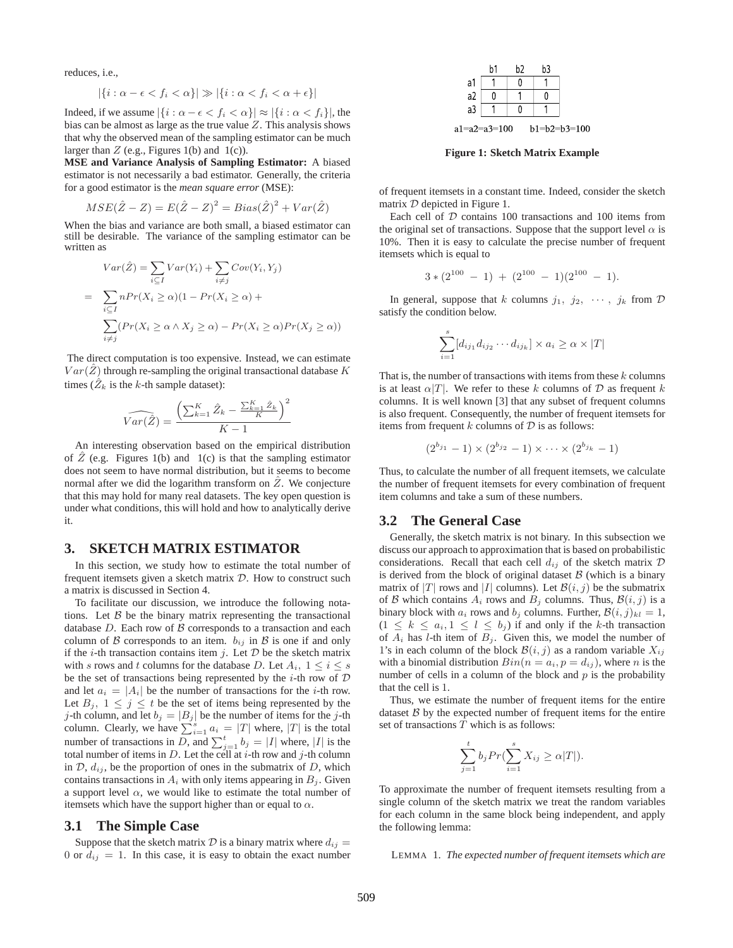reduces, i.e.,

$$
|\{i : \alpha - \epsilon < f_i < \alpha\}| \gg |\{i : \alpha < f_i < \alpha + \epsilon\}|
$$

Indeed, if we assume  $|\{i : \alpha - \epsilon < f_i < \alpha\}| \approx |\{i : \alpha < f_i\}|$ , the bias can be almost as large as the true value  $Z$ . This analysis shows that why the observed mean of the sampling estimator can be much larger than  $Z$  (e.g., Figures 1(b) and 1(c)).

**MSE and Variance Analysis of Sampling Estimator:** A biased estimator is not necessarily a bad estimator. Generally, the criteria for a good estimator is the *mean square error* (MSE):

$$
MSE(\hat{Z} - Z) = E(\hat{Z} - Z)^2 = Bias(\hat{Z})^2 + Var(\hat{Z})
$$

When the bias and variance are both small, a biased estimator can still be desirable. The variance of the sampling estimator can be written as

$$
Var(\hat{Z}) = \sum_{i \subseteq I} Var(Y_i) + \sum_{i \neq j} Cov(Y_i, Y_j)
$$
  
= 
$$
\sum_{i \subseteq I} n Pr(X_i \ge \alpha)(1 - Pr(X_i \ge \alpha) + \sum_{i \neq j} (Pr(X_i \ge \alpha \wedge X_j \ge \alpha) - Pr(X_i \ge \alpha)Pr(X_j \ge \alpha))
$$

The direct computation is too expensive. Instead, we can estimate  $Var(Z)$  through re-sampling the original transactional database K times ( $\hat{Z}_k$  is the k-th sample dataset):

$$
\widehat{Var(\hat{Z})} = \frac{\left(\sum_{k=1}^{K} \hat{Z}_k - \frac{\sum_{k=1}^{K} \hat{Z}_k}{K}\right)^2}{K - 1}
$$

An interesting observation based on the empirical distribution of  $\hat{Z}$  (e.g. Figures 1(b) and 1(c) is that the sampling estimator does not seem to have normal distribution, but it seems to become normal after we did the logarithm transform on  $Z$ . We conjecture that this may hold for many real datasets. The key open question is under what conditions, this will hold and how to analytically derive it.

# **3. SKETCH MATRIX ESTIMATOR**

In this section, we study how to estimate the total number of frequent itemsets given a sketch matrix  $D$ . How to construct such a matrix is discussed in Section 4.

To facilitate our discussion, we introduce the following notations. Let  $\beta$  be the binary matrix representing the transactional database  $D$ . Each row of  $\beta$  corresponds to a transaction and each column of B corresponds to an item.  $b_{ij}$  in B is one if and only if the *i*-th transaction contains item *j*. Let  $D$  be the sketch matrix with s rows and t columns for the database D. Let  $A_i$ ,  $1 \leq i \leq s$ be the set of transactions being represented by the  $i$ -th row of  $D$ and let  $a_i = |A_i|$  be the number of transactions for the *i*-th row. Let  $B_j$ ,  $1 \leq j \leq t$  be the set of items being represented by the j-th column, and let  $b_j = |B_j|$  be the number of items for the j-th column. Clearly, we have  $\sum_{i=1}^{s} a_i = |T|$  where,  $|T|$  is the total number of transactions in D, and  $\sum_{j=1}^{t} b_j = |I|$  where,  $|I|$  is the total number of items in D. Let the cell at i-th row and j-th column in  $D, d_{ij}$ , be the proportion of ones in the submatrix of D, which contains transactions in  $A_i$  with only items appearing in  $B_i$ . Given a support level  $\alpha$ , we would like to estimate the total number of itemsets which have the support higher than or equal to  $\alpha$ .

#### **3.1 The Simple Case**

Suppose that the sketch matrix  $D$  is a binary matrix where  $d_{ij} =$ 0 or  $d_{ij} = 1$ . In this case, it is easy to obtain the exact number

|                | h1 | h7 | h٩ |              |
|----------------|----|----|----|--------------|
| a1             |    |    |    |              |
| a <sub>2</sub> |    |    |    |              |
| a <sub>3</sub> |    |    |    |              |
| a1=a2=a3=100   |    |    |    | b1=b2=b3=100 |

**Figure 1: Sketch Matrix Example**

of frequent itemsets in a constant time. Indeed, consider the sketch matrix  $D$  depicted in Figure 1.

Each cell of  $D$  contains 100 transactions and 100 items from the original set of transactions. Suppose that the support level  $\alpha$  is 10%. Then it is easy to calculate the precise number of frequent itemsets which is equal to

$$
3*(2^{100}-1) + (2^{100}-1)(2^{100}-1).
$$

In general, suppose that k columns  $j_1, j_2, \cdots, j_k$  from  $D$ satisfy the condition below.

$$
\sum_{i=1}^{s} [d_{ij_1} d_{ij_2} \cdots d_{ij_k}] \times a_i \ge \alpha \times |T|
$$

That is, the number of transactions with items from these  $k$  columns is at least  $\alpha|T|$ . We refer to these k columns of D as frequent k columns. It is well known [3] that any subset of frequent columns is also frequent. Consequently, the number of frequent itemsets for items from frequent  $k$  columns of  $D$  is as follows:

$$
(2^{b_{j_1}}-1) \times (2^{b_{j_2}}-1) \times \cdots \times (2^{b_{j_k}}-1)
$$

Thus, to calculate the number of all frequent itemsets, we calculate the number of frequent itemsets for every combination of frequent item columns and take a sum of these numbers.

#### **3.2 The General Case**

Generally, the sketch matrix is not binary. In this subsection we discuss our approach to approximation that is based on probabilistic considerations. Recall that each cell  $d_{ij}$  of the sketch matrix  $D$ is derived from the block of original dataset  $\beta$  (which is a binary matrix of |T| rows and |I| columns). Let  $\mathcal{B}(i, j)$  be the submatrix of B which contains  $A_i$  rows and  $B_j$  columns. Thus,  $B(i, j)$  is a binary block with  $a_i$  rows and  $b_j$  columns. Further,  $\mathcal{B}(i, j)_{kl} = 1$ ,  $(1 \leq k \leq a_i, 1 \leq l \leq b_j)$  if and only if the k-th transaction of  $A_i$  has *l*-th item of  $B_i$ . Given this, we model the number of 1's in each column of the block  $\mathcal{B}(i, j)$  as a random variable  $X_{ij}$ with a binomial distribution  $Bin(n = a_i, p = d_{ij})$ , where *n* is the number of cells in a column of the block and  $p$  is the probability that the cell is 1.

Thus, we estimate the number of frequent items for the entire dataset  $\beta$  by the expected number of frequent items for the entire set of transactions  $T$  which is as follows:

$$
\sum_{j=1}^t b_j Pr(\sum_{i=1}^s X_{ij} \ge \alpha |T|).
$$

To approximate the number of frequent itemsets resulting from a single column of the sketch matrix we treat the random variables for each column in the same block being independent, and apply the following lemma:

LEMMA 1. *The expected number of frequent itemsets which are*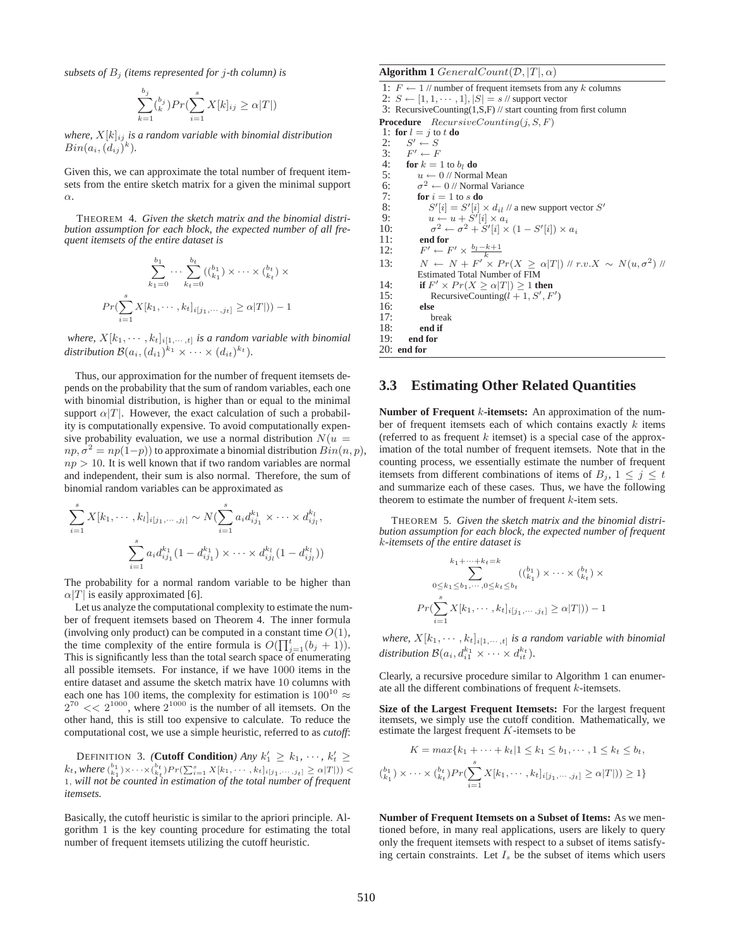*subsets of*  $B_i$  *(items represented for j-th column) is* 

$$
\sum_{k=1}^{b_j} {b_j \choose k} Pr(\sum_{i=1}^s X[k]_{ij} \ge \alpha |T|)
$$

*where,*  $X[k]_{ij}$  *is a random variable with binomial distribution*  $Bin(a_i, (d_{ij})^k)$ .

Given this, we can approximate the total number of frequent itemsets from the entire sketch matrix for a given the minimal support α.

THEOREM 4. *Given the sketch matrix and the binomial distribution assumption for each block, the expected number of all frequent itemsets of the entire dataset is*

$$
\sum_{k_1=0}^{b_1} \cdots \sum_{k_t=0}^{b_t} \left( \binom{b_1}{k_1} \times \cdots \times \binom{b_t}{k_t} \times \Pr\left(\sum_{i=1}^s X[k_1, \cdots, k_t]_{i[j_1, \cdots, j_t]} \ge \alpha |T|\right) \right) - 1
$$

where,  $X[k_1, \dots, k_t]_{i[1, \dots, t]}$  is a random variable with binomial distribution  $\mathcal{B}(a_i, (d_{i1})^{k_1} \times \cdots \times (d_{it})^{k_t}).$ 

Thus, our approximation for the number of frequent itemsets depends on the probability that the sum of random variables, each one with binomial distribution, is higher than or equal to the minimal support  $\alpha|T|$ . However, the exact calculation of such a probability is computationally expensive. To avoid computationally expensive probability evaluation, we use a normal distribution  $N(u =$  $np, \sigma^2 = np(1-p)$  to approximate a binomial distribution  $Bin(n, p)$ ,  $np > 10$ . It is well known that if two random variables are normal and independent, their sum is also normal. Therefore, the sum of binomial random variables can be approximated as

$$
\sum_{i=1}^{s} X[k_1, \cdots, k_l]_{i[j_1, \cdots, j_l]} \sim N(\sum_{i=1}^{s} a_i d_{ij_1}^{k_1} \times \cdots \times d_{ij_l}^{k_l},
$$

$$
\sum_{i=1}^{s} a_i d_{ij_1}^{k_1} (1 - d_{ij_1}^{k_1}) \times \cdots \times d_{ij_l}^{k_l} (1 - d_{ij_l}^{k_l}))
$$

The probability for a normal random variable to be higher than  $\alpha|T|$  is easily approximated [6].

Let us analyze the computational complexity to estimate the number of frequent itemsets based on Theorem 4. The inner formula (involving only product) can be computed in a constant time  $O(1)$ , the time complexity of the entire formula is  $O(\prod_{j=1}^{t} (b_j + 1)).$ This is significantly less than the total search space of enumerating all possible itemsets. For instance, if we have 1000 items in the entire dataset and assume the sketch matrix have 10 columns with each one has 100 items, the complexity for estimation is  $100^{10} \approx$  $2^{70}$  <<  $2^{1000}$ , where  $2^{1000}$  is the number of all itemsets. On the other hand, this is still too expensive to calculate. To reduce the computational cost, we use a simple heuristic, referred to as *cutoff*:

DEFINITION 3. *(Cutoff Condition)*  $Any \; k'_1 \geq k_1, \; \cdots, \; k'_t \geq$  $k_t$ , where  $\binom{b_1}{k_1} \times \cdots \times \binom{b_t}{k_t} Pr(\sum_{i=1}^s X[k_1, \cdots, k_t]_{i[j_1, \cdots, j_t]} \ge \alpha |T|))$ 1, *will not be counted in estimation of the total number of frequent itemsets.*

Basically, the cutoff heuristic is similar to the apriori principle. Algorithm 1 is the key counting procedure for estimating the total number of frequent itemsets utilizing the cutoff heuristic.

#### **Algorithm 1** GeneralCount $(\mathcal{D}, |T|, \alpha)$

```
1: F \leftarrow 1 // number of frequent itemsets from any k columns
 2: S \leftarrow [1, 1, \cdots, 1], |S| = s // support vector
 3: RecursiveCounting(1,S,F) // start counting from first column
Procedure RecursiveCounting(i, S, F)1: for l = j to t do
 2:S' \leftarrow S3:4:F' \leftarrow F4: for k = 1 to b_l do<br>5: u \leftarrow 0 \text{ // Norm}u \leftarrow 0 // Normal Mean
 6:<br>7:
            \sigma^2 \leftarrow 0 // Normal Variance
            for i = 1 to s do
 8: S'[i] = S'[i] \times d_{il} // a new support vector S'9: u \stackrel{i}{\leftarrow} u + S'[i] \times a_i<br>
0: \sigma^2 \leftarrow \sigma^2 + S'[i] \times (1 - S'[i]) \times a_i10:11: end for
12:\frac{b_l-k+1}{k}13: N \leftarrow N + F' \times Pr(X \ge \alpha |T|) \text{ // } r.v.X \sim N(u, \sigma^2) \text{ // }Estimated Total Number of FIM
14: if F' \times Pr(X \ge \alpha | T |) \ge 1 then
15: RecursiveCounting(\overline{l+1}, S', F')
16: else
17: break<br>18: end if
18: end if
         end for
20: end for
```
# **3.3 Estimating Other Related Quantities**

**Number of Frequent** k**-itemsets:** An approximation of the number of frequent itemsets each of which contains exactly  $k$  items (referred to as frequent  $k$  itemset) is a special case of the approximation of the total number of frequent itemsets. Note that in the counting process, we essentially estimate the number of frequent itemsets from different combinations of items of  $B_j$ ,  $1 \leq j \leq t$ and summarize each of these cases. Thus, we have the following theorem to estimate the number of frequent  $k$ -item sets.

THEOREM 5. *Given the sketch matrix and the binomial distribution assumption for each block, the expected number of frequent* k*-itemsets of the entire dataset is*

$$
\sum_{0 \le k_1 \le b_1, \dots, 0 \le k_t \le b_t}^{k_1 + \dots + k_t = k} ((b_{k_1}) \times \dots \times (b_t) \times
$$
  

$$
Pr(\sum_{i=1}^s X[k_1, \dots, k_t]_{i[j_1, \dots, j_t]} \ge \alpha |T|)) - 1
$$

where,  $X[k_1, \dots, k_t]_{i[1, \dots, t]}$  is a random variable with binomial distribution  $\mathcal{B}(a_i, d_{i1}^{k_1} \times \cdots \times d_{it}^{k_t}).$ 

Clearly, a recursive procedure similar to Algorithm 1 can enumerate all the different combinations of frequent k-itemsets.

**Size of the Largest Frequent Itemsets:** For the largest frequent itemsets, we simply use the cutoff condition. Mathematically, we estimate the largest frequent K-itemsets to be

$$
K = \max\{k_1 + \dots + k_t | 1 \le k_1 \le b_1, \dots, 1 \le k_t \le b_t, \binom{b_1}{k_1} \times \dots \times \binom{b_t}{k_t} Pr(\sum_{i=1}^s X[k_1, \dots, k_t]_{i[j_1, \dots, j_t]} \ge \alpha | T|)) \ge 1 \}
$$

**Number of Frequent Itemsets on a Subset of Items:** As we mentioned before, in many real applications, users are likely to query only the frequent itemsets with respect to a subset of items satisfying certain constraints. Let  $I_s$  be the subset of items which users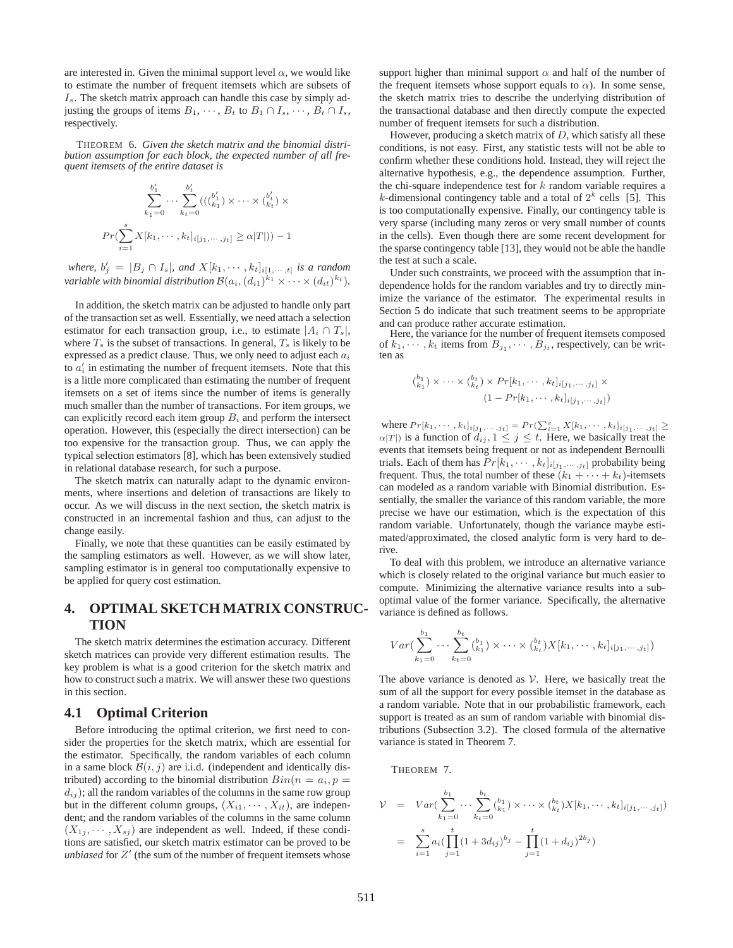are interested in. Given the minimal support level  $\alpha$ , we would like to estimate the number of frequent itemsets which are subsets of  $I_s$ . The sketch matrix approach can handle this case by simply adjusting the groups of items  $B_1, \cdots, B_t$  to  $B_1 \cap I_s, \cdots, B_t \cap I_s$ , respectively.

THEOREM 6. *Given the sketch matrix and the binomial distribution assumption for each block, the expected number of all frequent itemsets of the entire dataset is*

$$
\sum_{k_1=0}^{b'_1} \cdots \sum_{k_t=0}^{b'_t} ((\binom{b'_1}{k_1}) \times \cdots \times \binom{b'_t}{k_t}) \times
$$

$$
Pr(\sum_{i=1}^s X[k_1, \cdots, k_t]_{i[j_1, \cdots, j_t]} \ge \alpha |T|)) - 1
$$

 $\overline{l}$ 

*where,*  $b'_{j} = |B_{j} \cap I_{s}|$ *, and*  $X[k_{1}, \dots, k_{t}]_{i[1, \dots, t]}$  *is a random variable with binomial distribution*  $\mathcal{B}(a_i, (d_{i1})^{k_1} \times \cdots \times (d_{it})^{k_t})$ .

In addition, the sketch matrix can be adjusted to handle only part of the transaction set as well. Essentially, we need attach a selection estimator for each transaction group, i.e., to estimate  $|A_i \cap T_s|$ , where  $T_s$  is the subset of transactions. In general,  $T_s$  is likely to be expressed as a predict clause. Thus, we only need to adjust each  $a_i$ to  $a'_i$  in estimating the number of frequent itemsets. Note that this is a little more complicated than estimating the number of frequent itemsets on a set of items since the number of items is generally much smaller than the number of transactions. For item groups, we can explicitly record each item group  $B_i$  and perform the intersect operation. However, this (especially the direct intersection) can be too expensive for the transaction group. Thus, we can apply the typical selection estimators [8], which has been extensively studied in relational database research, for such a purpose.

The sketch matrix can naturally adapt to the dynamic environments, where insertions and deletion of transactions are likely to occur. As we will discuss in the next section, the sketch matrix is constructed in an incremental fashion and thus, can adjust to the change easily.

Finally, we note that these quantities can be easily estimated by the sampling estimators as well. However, as we will show later, sampling estimator is in general too computationally expensive to be applied for query cost estimation.

# **4. OPTIMAL SKETCH MATRIX CONSTRUC-TION**

The sketch matrix determines the estimation accuracy. Different sketch matrices can provide very different estimation results. The key problem is what is a good criterion for the sketch matrix and how to construct such a matrix. We will answer these two questions in this section.

### **4.1 Optimal Criterion**

Before introducing the optimal criterion, we first need to consider the properties for the sketch matrix, which are essential for the estimator. Specifically, the random variables of each column in a same block  $\mathcal{B}(i, j)$  are i.i.d. (independent and identically distributed) according to the binomial distribution  $Bin(n = a_i, p =$  $d_{ij}$ ; all the random variables of the columns in the same row group but in the different column groups,  $(X_{i1}, \cdots, X_{it})$ , are independent; and the random variables of the columns in the same column  $(X_{1j}, \dots, X_{sj})$  are independent as well. Indeed, if these conditions are satisfied, our sketch matrix estimator can be proved to be *unbiased* for  $Z'$  (the sum of the number of frequent itemsets whose

support higher than minimal support  $\alpha$  and half of the number of the frequent itemsets whose support equals to  $\alpha$ ). In some sense, the sketch matrix tries to describe the underlying distribution of the transactional database and then directly compute the expected number of frequent itemsets for such a distribution.

However, producing a sketch matrix of  $D$ , which satisfy all these conditions, is not easy. First, any statistic tests will not be able to confirm whether these conditions hold. Instead, they will reject the alternative hypothesis, e.g., the dependence assumption. Further, the chi-square independence test for  $k$  random variable requires a k-dimensional contingency table and a total of  $2^k$  cells [5]. This is too computationally expensive. Finally, our contingency table is very sparse (including many zeros or very small number of counts in the cells). Even though there are some recent development for the sparse contingency table [13], they would not be able the handle the test at such a scale.

Under such constraints, we proceed with the assumption that independence holds for the random variables and try to directly minimize the variance of the estimator. The experimental results in Section 5 do indicate that such treatment seems to be appropriate and can produce rather accurate estimation.

Here, the variance for the number of frequent itemsets composed of  $k_1, \dots, k_t$  items from  $B_{j_1}, \dots, B_{j_t}$ , respectively, can be written as

$$
\binom{b_1}{k_1} \times \cdots \times \binom{b_t}{k_t} \times Pr[k_1, \cdots, k_t]_{i[j_1, \cdots, j_t]} \times
$$

$$
(1 - Pr[k_1, \cdots, k_t]_{i[j_1, \cdots, j_t]})
$$

where  $Pr[k_1, \dots, k_t]_{i[j_1, \dots, j_t]} = Pr(\sum_{i=1}^s X[k_1, \dots, k_t]_{i[j_1, \dots, j_t]} \ge$  $\alpha|T|$ ) is a function of  $d_{ij}$ ,  $1 \leq j \leq t$ . Here, we basically treat the events that itemsets being frequent or not as independent Bernoulli trials. Each of them has  $Pr[k_1, \dots, k_t]_{i[j_1, \dots, j_t]}$  probability being frequent. Thus, the total number of these  $(k_1 + \cdots + k_t)$ -itemsets can modeled as a random variable with Binomial distribution. Essentially, the smaller the variance of this random variable, the more precise we have our estimation, which is the expectation of this random variable. Unfortunately, though the variance maybe estimated/approximated, the closed analytic form is very hard to derive.

To deal with this problem, we introduce an alternative variance which is closely related to the original variance but much easier to compute. Minimizing the alternative variance results into a suboptimal value of the former variance. Specifically, the alternative variance is defined as follows.

$$
Var(\sum_{k_1=0}^{b_1}\cdots\sum_{k_t=0}^{b_t} \binom{b_1}{k_1} \times \cdots \times \binom{b_t}{k_t} X[k_1, \cdots, k_t]_{i[j_1, \cdots, j_t]})
$$

The above variance is denoted as  $V$ . Here, we basically treat the sum of all the support for every possible itemset in the database as a random variable. Note that in our probabilistic framework, each support is treated as an sum of random variable with binomial distributions (Subsection 3.2). The closed formula of the alternative variance is stated in Theorem 7.

THEOREM 7.

$$
\mathcal{V} = Var\left(\sum_{k_1=0}^{b_1} \cdots \sum_{k_t=0}^{b_t} {b_1 \choose k_1} \times \cdots \times {b_t \choose k_t} X[k_1, \cdots, k_t]_{i[j_1, \cdots, j_t}] \right)
$$

$$
= \sum_{i=1}^{s} a_i \left(\prod_{j=1}^{t} (1 + 3d_{ij})^{b_j} - \prod_{j=1}^{t} (1 + d_{ij})^{2b_j} \right)
$$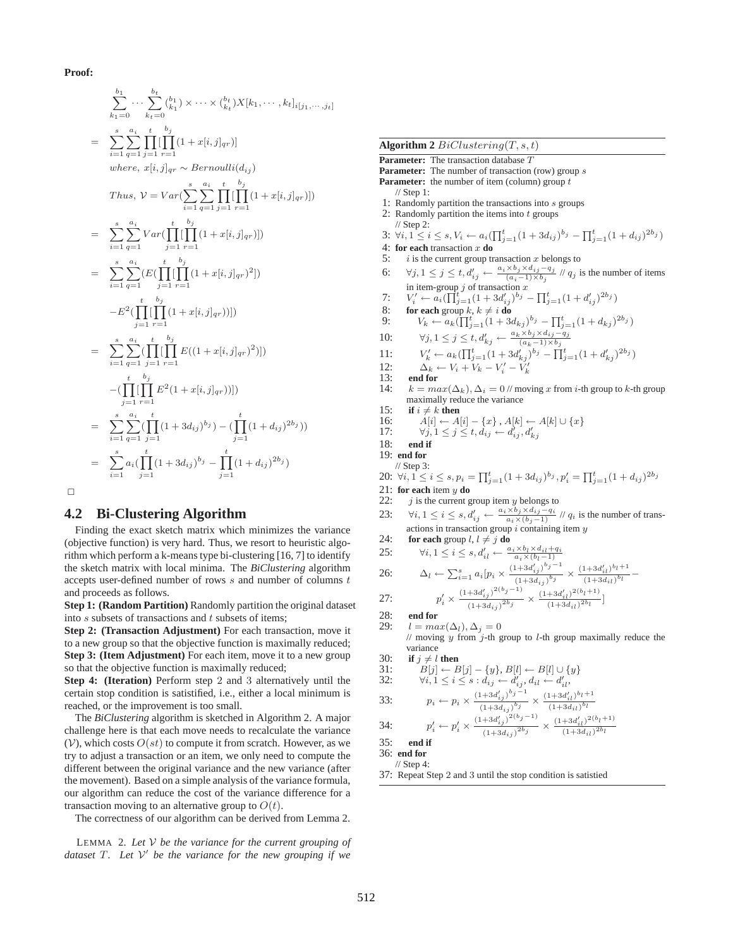**Proof:**

$$
\sum_{k_1=0}^{b_1} \cdots \sum_{k_t=0}^{b_t} {b_1 \choose k_1} \times \cdots \times {b_t \choose k_t} X[k_1, \cdots, k_t]_{i[j_1, \cdots, j_t]}
$$
\n
$$
= \sum_{i=1}^{s} \sum_{q=1}^{a_i} \prod_{j=1}^{t} [\prod_{r=1}^{b_j} (1 + x[i, j]_{qr})]
$$
\nwhere,  $x[i, j]_{qr} \sim Bernoulli(d_{ij})$   
\nThus,  $V = Var(\sum_{i=1}^{s} \sum_{q=1}^{a_i} \prod_{j=1}^{t} [\prod_{r=1}^{b_j} (1 + x[i, j]_{qr})])$   
\n
$$
= \sum_{i=1}^{s} \sum_{q=1}^{a_i} Var(\prod_{j=1}^{t} [\prod_{r=1}^{b_j} (1 + x[i, j]_{qr})])
$$
\n
$$
= \sum_{i=1}^{s} \sum_{q=1}^{a_i} (E(\prod_{j=1}^{t} [\prod_{r=1}^{b_j} (1 + x[i, j]_{qr})^2])
$$
\n
$$
-E^2(\prod_{j=1}^{t} [\prod_{r=1}^{b_j} (1 + x[i, j]_{qr}))])
$$
\n
$$
= \sum_{i=1}^{s} \sum_{q=1}^{a_i} (\prod_{j=1}^{t} [\prod_{r=1}^{b_j} E((1 + x[i, j]_{qr})^2)])
$$
\n
$$
- (\prod_{j=1}^{t} [\prod_{r=1}^{b_j} E^2(1 + x[i, j]_{qr}))])
$$
\n
$$
= \sum_{i=1}^{s} \sum_{q=1}^{a_i} (\prod_{j=1}^{t} (1 + 3d_{ij})^{b_j}) - (\prod_{j=1}^{t} (1 + d_{ij})^{2b_j})
$$
\n
$$
= \sum_{i=1}^{s} a_i (\prod_{j=1}^{t} (1 + 3d_{ij})^{b_j} - \prod_{j=1}^{t} (1 + d_{ij})^{2b_j})
$$

# **4.2 Bi-Clustering Algorithm**

 $\Box$ 

Finding the exact sketch matrix which minimizes the variance (objective function) is very hard. Thus, we resort to heuristic algorithm which perform a k-means type bi-clustering [16, 7] to identify the sketch matrix with local minima. The *BiClustering* algorithm accepts user-defined number of rows s and number of columns t and proceeds as follows.

**Step 1: (Random Partition)** Randomly partition the original dataset into  $s$  subsets of transactions and  $t$  subsets of items;

**Step 2: (Transaction Adjustment)** For each transaction, move it to a new group so that the objective function is maximally reduced; **Step 3: (Item Adjustment)** For each item, move it to a new group so that the objective function is maximally reduced;

**Step 4: (Iteration)** Perform step 2 and 3 alternatively until the certain stop condition is satistified, i.e., either a local minimum is reached, or the improvement is too small.

The *BiClustering* algorithm is sketched in Algorithm 2. A major challenge here is that each move needs to recalculate the variance  $(V)$ , which costs  $O(st)$  to compute it from scratch. However, as we try to adjust a transaction or an item, we only need to compute the different between the original variance and the new variance (after the movement). Based on a simple analysis of the variance formula, our algorithm can reduce the cost of the variance difference for a transaction moving to an alternative group to  $O(t)$ .

The correctness of our algorithm can be derived from Lemma 2.

LEMMA 2. *Let* V *be the variance for the current grouping of dataset* T*. Let* V ′ *be the variance for the new grouping if we*

**Algorithm 2**  $BiClustering(T, s, t)$ **Parameter:** The transaction database T **Parameter:** The number of transaction (row) group s **Parameter:** the number of item (column) group t // Step 1: 1: Randomly partition the transactions into s groups 2: Randomly partition the items into  $t$  groups // Step 2: 3:  $\forall i, 1 \leq i \leq s, V_i \leftarrow a_i (\prod_{j=1}^t (1 + 3d_{ij})^{b_j} - \prod_{j=1}^t (1 + d_{ij})^{2b_j})$ 4: **for each** transaction x **do** 5: *i* is the current group transaction x belongs to 6:  $\forall j, 1 \leq j \leq t, d'_{ij} \leftarrow \frac{a_i \times b_j \times d_{ij} - q_j}{(a_i - 1) \times b_j}$  //  $q_j$  is the number of items in item-group  $j$  of transaction  $x$ <br>  $V'_i \leftarrow a_i(\prod_{j=1}^t(1+3d'_{ij})^{b_j} - \prod_{j=1}^t(1+d'_{ij})^{2b_j})$  $7:$ 8: **for each** group  $k, k \neq i$  **do** 9:  $V_k \leftarrow a_k (\prod_{j=1}^t (1+3d_{kj})^{b_j} - \prod_{j=1}^t (1+d_{kj})^{2b_j})$ 10:  $\forall j, 1 \leq j \leq t, d'_{kj} \leftarrow \frac{a_k \times b_j \times d_{ij} - q_j}{(a_k - 1) \times b_j}$ 11:  $V'_k \leftarrow a_k \left( \prod_{j=1}^t (1 + 3d'_{kj})^{b_j} - \prod_{j=1}^t (1 + d'_{kj})^{2b_j} \right)$ 12:  $\Delta_k \leftarrow V_i + V_k - V'_i - V'_k$ 13: **end for**<br>14:  $k = ma$  $k = max(\Delta_k)$ ,  $\Delta_i = 0$  // moving x from i-th group to k-th group maximally reduce the variance 15: **if**  $i \neq k$  **then**<br>16:  $A[i] \leftarrow A$ 16:  $A[i] \leftarrow A[i] - \{x\}$ ,  $A[k] \leftarrow A[k] \cup \{x\}$ 17:  $\forall j, 1 \leq j \leq t, d_{ij} \leftarrow d'_{ij}, d'_{kj}$ 18: **end if** 19: **end for** // Step 3: 20:  $\forall i, 1 \leq i \leq s, p_i = \prod_{j=1}^t (1 + 3d_{ij})^{b_j}, p'_i = \prod_{j=1}^t (1 + d_{ij})^{2b_j}$ 21: **for each** item y **do**<br>22: *j* is the current g 22:  $j$  is the current group item y belongs to 23:  $\forall i, 1 \leq i \leq s, d'_{ij} \leftarrow \frac{a_i \times b_j \times d_{ij} - q_i}{a_i \times (b_j - 1)}$  //  $q_i$  is the number of transactions in transaction group  $i$  containing item  $y$ 24: **for each** group  $l, l \neq j$  **do**<br>25:  $\forall i, 1 \leq i \leq s, d'_{i}, \leftarrow \frac{a}{s}$ 25:  $\forall i, 1 \leq i \leq s, d'_{il} \leftarrow \frac{a_i \times b_l \times d_{il} + q_i}{a_i \times (b_l - 1)}$ 26:  $\Delta_l \leftarrow \sum_{i=1}^s a_i [p_i \times \frac{(1+3d'_{ij})^{b_j-1}}{(1+3d_{ij})^{b_j}}]$  $\frac{(1+3d'_{ij})^{b_j-1}}{(1+3d_{ij})^{b_j}} \times \frac{(1+3d'_{il})^{b_l+1}}{(1+3d_{il})^{b_l}}$  $\frac{1}{(1+3d_{il})^{b_l}}$  – 27:  $p'_i \times \frac{(1+3d'_{ij})^{2(b_j-1)}}{(1+3d_{ij})^{2b_j}}$  $\frac{+3d'_{ij})^{2(b_j-1)}}{(1+3d_{ij})^{2b_j}} \times \frac{(1+3d'_{il})^{2(b_l+1)}}{(1+3d_{il})^{2b_l}}$  $\frac{1}{(1+3d_{il})^{2b_l}}$ 

28: **end for**<br>29:  $l = mc$ 

 $l = max(\Delta_l), \Delta_j = 0$ // moving  $y$  from  $j$ -th group to *l*-th group maximally reduce the variance

30: **if**  $j \neq l$  **then** 

31: 
$$
B[j] \leftarrow B[j] - \{y\}, B[l] \leftarrow B[l] \cup \{y\}
$$

32: 
$$
\forall i, 1 \le i \le s : d_{ij} \leftarrow d'_{ij}, d_{il} \leftarrow d'_{il}
$$

33: 
$$
p_i \leftarrow p_i \times \frac{(1+3d'_{ij})^{b_j-1}}{(1+3d_{ij})^{b_j}} \times \frac{(1+3d'_{il})^{b_l+1}}{(1+3d_{il})^{b_l}}
$$

34: 
$$
p'_{i} \leftarrow p'_{i} \times \frac{(1+3d'_{ij})^{2(b_{j}-1)}}{(1+3d_{ij})^{2b_{j}}} \times \frac{(1+3d'_{il})^{2(b_{l}+1)}}{(1+3d_{il})^{2b_{l}}}
$$

$$
35: \t end if
$$

36: **end for**

- // Step 4:
- 37: Repeat Step 2 and 3 until the stop condition is satistied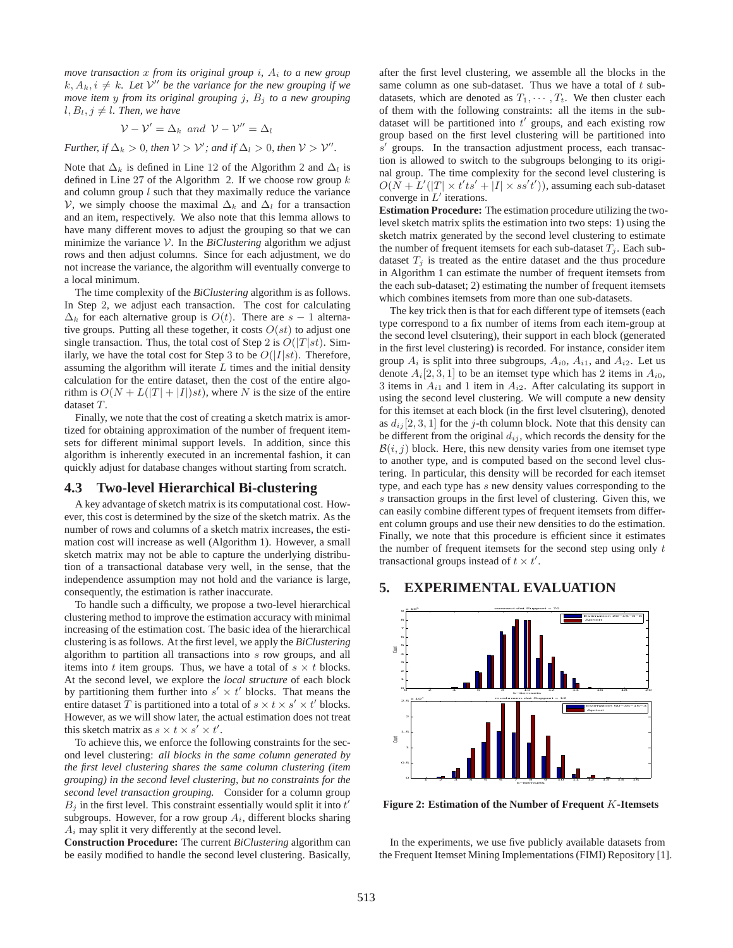*move transaction* x *from its original group* i*,* A<sup>i</sup> *to a new group*  $k, A_k, i \neq k$ . Let  $\mathcal{V}''$  be the variance for the new grouping if we *move item* y *from its original grouping* j*,* B<sup>j</sup> *to a new grouping*  $l, B_l, j \neq l$ . Then, we have

$$
\mathcal{V} - \mathcal{V}' = \Delta_k \text{ and } \mathcal{V} - \mathcal{V}'' = \Delta_l
$$

*Further, if*  $\Delta_k > 0$ *, then*  $V > V'$ *; and if*  $\Delta_l > 0$ *, then*  $V > V''$ *.* 

Note that  $\Delta_k$  is defined in Line 12 of the Algorithm 2 and  $\Delta_l$  is defined in Line 27 of the Algorithm 2. If we choose row group  $k$ and column group  $l$  such that they maximally reduce the variance V, we simply choose the maximal  $\Delta_k$  and  $\Delta_l$  for a transaction and an item, respectively. We also note that this lemma allows to have many different moves to adjust the grouping so that we can minimize the variance V. In the *BiClustering* algorithm we adjust rows and then adjust columns. Since for each adjustment, we do not increase the variance, the algorithm will eventually converge to a local minimum.

The time complexity of the *BiClustering* algorithm is as follows. In Step 2, we adjust each transaction. The cost for calculating  $\Delta_k$  for each alternative group is  $O(t)$ . There are s – 1 alternative groups. Putting all these together, it costs  $O(st)$  to adjust one single transaction. Thus, the total cost of Step 2 is  $O(|T|st)$ . Similarly, we have the total cost for Step 3 to be  $O(|I|st)$ . Therefore, assuming the algorithm will iterate  $L$  times and the initial density calculation for the entire dataset, then the cost of the entire algorithm is  $O(N + L(|T| + |I|)st)$ , where N is the size of the entire dataset T.

Finally, we note that the cost of creating a sketch matrix is amortized for obtaining approximation of the number of frequent itemsets for different minimal support levels. In addition, since this algorithm is inherently executed in an incremental fashion, it can quickly adjust for database changes without starting from scratch.

### **4.3 Two-level Hierarchical Bi-clustering**

A key advantage of sketch matrix is its computational cost. However, this cost is determined by the size of the sketch matrix. As the number of rows and columns of a sketch matrix increases, the estimation cost will increase as well (Algorithm 1). However, a small sketch matrix may not be able to capture the underlying distribution of a transactional database very well, in the sense, that the independence assumption may not hold and the variance is large, consequently, the estimation is rather inaccurate.

To handle such a difficulty, we propose a two-level hierarchical clustering method to improve the estimation accuracy with minimal increasing of the estimation cost. The basic idea of the hierarchical clustering is as follows. At the first level, we apply the *BiClustering* algorithm to partition all transactions into s row groups, and all items into t item groups. Thus, we have a total of  $s \times t$  blocks. At the second level, we explore the *local structure* of each block by partitioning them further into  $s' \times t'$  blocks. That means the entire dataset T is partitioned into a total of  $s \times t \times s' \times t'$  blocks. However, as we will show later, the actual estimation does not treat this sketch matrix as  $s \times t \times s' \times t'$ .

To achieve this, we enforce the following constraints for the second level clustering: *all blocks in the same column generated by the first level clustering shares the same column clustering (item grouping) in the second level clustering, but no constraints for the second level transaction grouping.* Consider for a column group  $B_j$  in the first level. This constraint essentially would split it into  $t'$ subgroups. However, for a row group  $A_i$ , different blocks sharing  $A_i$  may split it very differently at the second level.

**Construction Procedure:** The current *BiClustering* algorithm can be easily modified to handle the second level clustering. Basically, after the first level clustering, we assemble all the blocks in the same column as one sub-dataset. Thus we have a total of  $t$  subdatasets, which are denoted as  $T_1, \cdots, T_t$ . We then cluster each of them with the following constraints: all the items in the subdataset will be partitioned into  $t'$  groups, and each existing row group based on the first level clustering will be partitioned into  $s'$  groups. In the transaction adjustment process, each transaction is allowed to switch to the subgroups belonging to its original group. The time complexity for the second level clustering is  $O(N + L'(|T| \times t'ts' + |I| \times ss't'))$ , assuming each sub-dataset converge in  $L'$  iterations.

**Estimation Procedure:** The estimation procedure utilizing the twolevel sketch matrix splits the estimation into two steps: 1) using the sketch matrix generated by the second level clustering to estimate the number of frequent itemsets for each sub-dataset  $T_i$ . Each subdataset  $T_i$  is treated as the entire dataset and the thus procedure in Algorithm 1 can estimate the number of frequent itemsets from the each sub-dataset; 2) estimating the number of frequent itemsets which combines itemsets from more than one sub-datasets.

The key trick then is that for each different type of itemsets (each type correspond to a fix number of items from each item-group at the second level clsutering), their support in each block (generated in the first level clustering) is recorded. For instance, consider item group  $A_i$  is split into three subgroups,  $A_{i0}$ ,  $A_{i1}$ , and  $A_{i2}$ . Let us denote  $A_i[2,3,1]$  to be an itemset type which has 2 items in  $A_{i0}$ , 3 items in  $A_{i1}$  and 1 item in  $A_{i2}$ . After calculating its support in using the second level clustering. We will compute a new density for this itemset at each block (in the first level clsutering), denoted as  $d_{ij}$  [2, 3, 1] for the *j*-th column block. Note that this density can be different from the original  $d_{ij}$ , which records the density for the  $\mathcal{B}(i, j)$  block. Here, this new density varies from one itemset type to another type, and is computed based on the second level clustering. In particular, this density will be recorded for each itemset type, and each type has s new density values corresponding to the s transaction groups in the first level of clustering. Given this, we can easily combine different types of frequent itemsets from different column groups and use their new densities to do the estimation. Finally, we note that this procedure is efficient since it estimates the number of frequent itemsets for the second step using only  $t$ transactional groups instead of  $t \times t'$ .

# **5. EXPERIMENTAL EVALUATION**



**Figure 2: Estimation of the Number of Frequent** K**-Itemsets**

In the experiments, we use five publicly available datasets from the Frequent Itemset Mining Implementations (FIMI) Repository [1].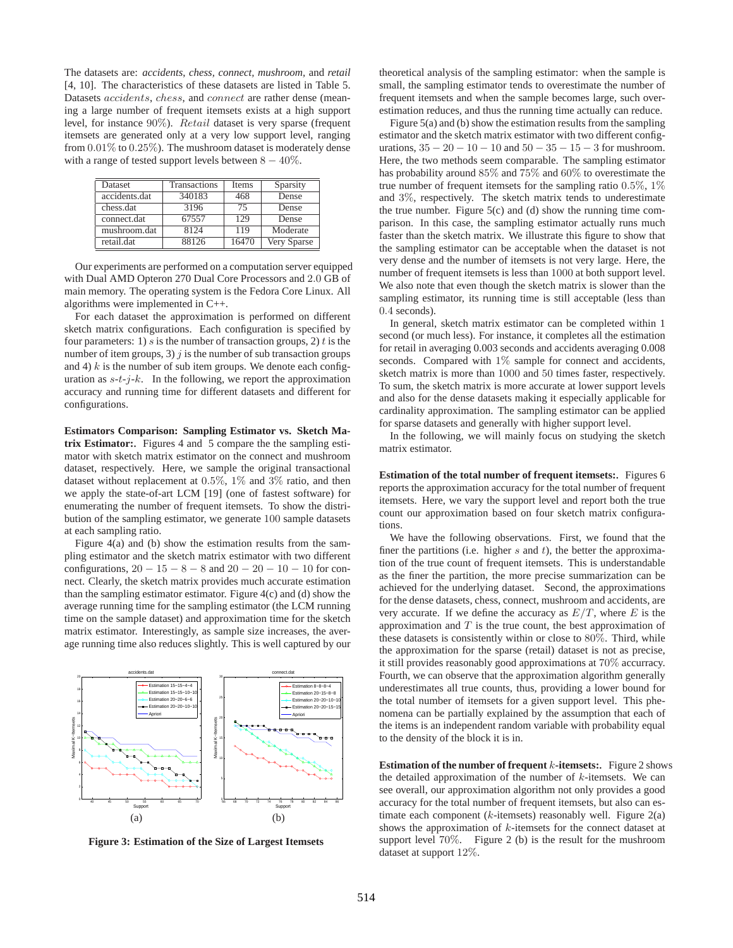The datasets are: *accidents*, *chess, connect, mushroom,* and *retail* [4, 10]. The characteristics of these datasets are listed in Table 5. Datasets accidents, chess, and connect are rather dense (meaning a large number of frequent itemsets exists at a high support level, for instance 90%). Retail dataset is very sparse (frequent itemsets are generated only at a very low support level, ranging from 0.01% to 0.25%). The mushroom dataset is moderately dense with a range of tested support levels between  $8 - 40\%$ .

| Dataset       | Transactions | <b>Items</b> | Sparsity    |
|---------------|--------------|--------------|-------------|
| accidents.dat | 340183       | 468          | Dense       |
| chess.dat     | 3196         | 75           | Dense       |
| connect.dat   | 67557        | 129          | Dense       |
| mushroom.dat  | 8124         | 119          | Moderate    |
| retail.dat    | 88126        | 16470        | Very Sparse |

Our experiments are performed on a computation server equipped with Dual AMD Opteron 270 Dual Core Processors and 2.0 GB of main memory. The operating system is the Fedora Core Linux. All algorithms were implemented in C++.

For each dataset the approximation is performed on different sketch matrix configurations. Each configuration is specified by four parameters: 1) s is the number of transaction groups, 2) t is the number of item groups, 3)  $i$  is the number of sub transaction groups and 4)  $k$  is the number of sub item groups. We denote each configuration as  $s-t-j-k$ . In the following, we report the approximation accuracy and running time for different datasets and different for configurations.

**Estimators Comparison: Sampling Estimator vs. Sketch Matrix Estimator:***.* Figures 4 and 5 compare the the sampling estimator with sketch matrix estimator on the connect and mushroom dataset, respectively. Here, we sample the original transactional dataset without replacement at 0.5%, 1% and 3% ratio, and then we apply the state-of-art LCM [19] (one of fastest software) for enumerating the number of frequent itemsets. To show the distribution of the sampling estimator, we generate 100 sample datasets at each sampling ratio.

Figure 4(a) and (b) show the estimation results from the sampling estimator and the sketch matrix estimator with two different configurations,  $20 - 15 - 8 - 8$  and  $20 - 20 - 10 - 10$  for connect. Clearly, the sketch matrix provides much accurate estimation than the sampling estimator estimator. Figure 4(c) and (d) show the average running time for the sampling estimator (the LCM running time on the sample dataset) and approximation time for the sketch matrix estimator. Interestingly, as sample size increases, the average running time also reduces slightly. This is well captured by our



**Figure 3: Estimation of the Size of Largest Itemsets**

theoretical analysis of the sampling estimator: when the sample is small, the sampling estimator tends to overestimate the number of frequent itemsets and when the sample becomes large, such overestimation reduces, and thus the running time actually can reduce.

Figure 5(a) and (b) show the estimation results from the sampling estimator and the sketch matrix estimator with two different configurations,  $35 - 20 - 10 - 10$  and  $50 - 35 - 15 - 3$  for mushroom. Here, the two methods seem comparable. The sampling estimator has probability around 85% and 75% and 60% to overestimate the true number of frequent itemsets for the sampling ratio  $0.5\%$ ,  $1\%$ and 3%, respectively. The sketch matrix tends to underestimate the true number. Figure  $5(c)$  and (d) show the running time comparison. In this case, the sampling estimator actually runs much faster than the sketch matrix. We illustrate this figure to show that the sampling estimator can be acceptable when the dataset is not very dense and the number of itemsets is not very large. Here, the number of frequent itemsets is less than 1000 at both support level. We also note that even though the sketch matrix is slower than the sampling estimator, its running time is still acceptable (less than 0.4 seconds).

In general, sketch matrix estimator can be completed within 1 second (or much less). For instance, it completes all the estimation for retail in averaging 0.003 seconds and accidents averaging 0.008 seconds. Compared with 1% sample for connect and accidents, sketch matrix is more than 1000 and 50 times faster, respectively. To sum, the sketch matrix is more accurate at lower support levels and also for the dense datasets making it especially applicable for cardinality approximation. The sampling estimator can be applied for sparse datasets and generally with higher support level.

In the following, we will mainly focus on studying the sketch matrix estimator.

**Estimation of the total number of frequent itemsets:***.* Figures 6 reports the approximation accuracy for the total number of frequent itemsets. Here, we vary the support level and report both the true count our approximation based on four sketch matrix configurations.

We have the following observations. First, we found that the finer the partitions (i.e. higher s and t), the better the approximation of the true count of frequent itemsets. This is understandable as the finer the partition, the more precise summarization can be achieved for the underlying dataset. Second, the approximations for the dense datasets, chess, connect, mushroom and accidents, are very accurate. If we define the accuracy as  $E/T$ , where E is the approximation and  $T$  is the true count, the best approximation of these datasets is consistently within or close to 80%. Third, while the approximation for the sparse (retail) dataset is not as precise, it still provides reasonably good approximations at 70% accurracy. Fourth, we can observe that the approximation algorithm generally underestimates all true counts, thus, providing a lower bound for the total number of itemsets for a given support level. This phenomena can be partially explained by the assumption that each of the items is an independent random variable with probability equal to the density of the block it is in.

**Estimation of the number of frequent** k-itemsets: Figure 2 shows the detailed approximation of the number of  $k$ -itemsets. We can see overall, our approximation algorithm not only provides a good accuracy for the total number of frequent itemsets, but also can estimate each component ( $k$ -itemsets) reasonably well. Figure  $2(a)$ shows the approximation of  $k$ -itemsets for the connect dataset at support level 70%. Figure 2 (b) is the result for the mushroom dataset at support 12%.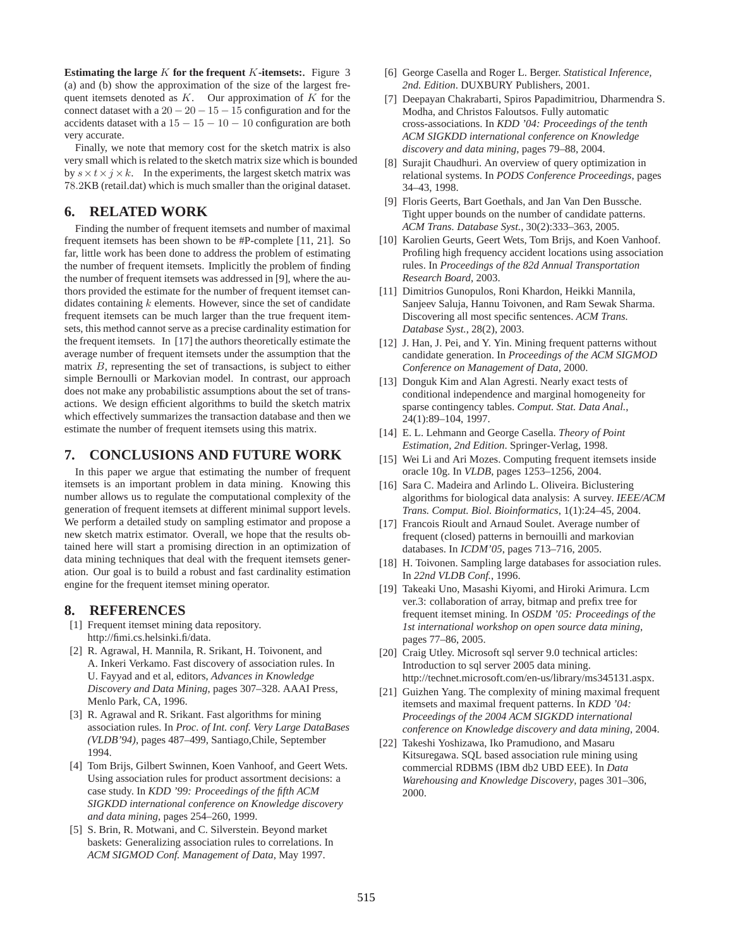**Estimating the large** K **for the frequent** K**-itemsets:***.* Figure 3 (a) and (b) show the approximation of the size of the largest frequent itemsets denoted as  $K$ . Our approximation of  $K$  for the connect dataset with a  $20 - 20 - 15 - 15$  configuration and for the accidents dataset with a  $15 - 15 - 10 - 10$  configuration are both very accurate.

Finally, we note that memory cost for the sketch matrix is also very small which is related to the sketch matrix size which is bounded by  $s \times t \times j \times k$ . In the experiments, the largest sketch matrix was 78.2KB (retail.dat) which is much smaller than the original dataset.

# **6. RELATED WORK**

Finding the number of frequent itemsets and number of maximal frequent itemsets has been shown to be #P-complete [11, 21]. So far, little work has been done to address the problem of estimating the number of frequent itemsets. Implicitly the problem of finding the number of frequent itemsets was addressed in [9], where the authors provided the estimate for the number of frequent itemset candidates containing  $k$  elements. However, since the set of candidate frequent itemsets can be much larger than the true frequent itemsets, this method cannot serve as a precise cardinality estimation for the frequent itemsets. In [17] the authors theoretically estimate the average number of frequent itemsets under the assumption that the matrix B, representing the set of transactions, is subject to either simple Bernoulli or Markovian model. In contrast, our approach does not make any probabilistic assumptions about the set of transactions. We design efficient algorithms to build the sketch matrix which effectively summarizes the transaction database and then we estimate the number of frequent itemsets using this matrix.

# **7. CONCLUSIONS AND FUTURE WORK**

In this paper we argue that estimating the number of frequent itemsets is an important problem in data mining. Knowing this number allows us to regulate the computational complexity of the generation of frequent itemsets at different minimal support levels. We perform a detailed study on sampling estimator and propose a new sketch matrix estimator. Overall, we hope that the results obtained here will start a promising direction in an optimization of data mining techniques that deal with the frequent itemsets generation. Our goal is to build a robust and fast cardinality estimation engine for the frequent itemset mining operator.

#### **8. REFERENCES**

- [1] Frequent itemset mining data repository. http://fimi.cs.helsinki.fi/data.
- [2] R. Agrawal, H. Mannila, R. Srikant, H. Toivonent, and A. Inkeri Verkamo. Fast discovery of association rules. In U. Fayyad and et al, editors, *Advances in Knowledge Discovery and Data Mining*, pages 307–328. AAAI Press, Menlo Park, CA, 1996.
- [3] R. Agrawal and R. Srikant. Fast algorithms for mining association rules. In *Proc. of Int. conf. Very Large DataBases (VLDB'94)*, pages 487–499, Santiago,Chile, September 1994.
- [4] Tom Brijs, Gilbert Swinnen, Koen Vanhoof, and Geert Wets. Using association rules for product assortment decisions: a case study. In *KDD '99: Proceedings of the fifth ACM SIGKDD international conference on Knowledge discovery and data mining*, pages 254–260, 1999.
- [5] S. Brin, R. Motwani, and C. Silverstein. Beyond market baskets: Generalizing association rules to correlations. In *ACM SIGMOD Conf. Management of Data*, May 1997.
- [6] George Casella and Roger L. Berger. *Statistical Inference, 2nd. Edition*. DUXBURY Publishers, 2001.
- [7] Deepayan Chakrabarti, Spiros Papadimitriou, Dharmendra S. Modha, and Christos Faloutsos. Fully automatic cross-associations. In *KDD '04: Proceedings of the tenth ACM SIGKDD international conference on Knowledge discovery and data mining*, pages 79–88, 2004.
- [8] Surajit Chaudhuri. An overview of query optimization in relational systems. In *PODS Conference Proceedings*, pages 34–43, 1998.
- [9] Floris Geerts, Bart Goethals, and Jan Van Den Bussche. Tight upper bounds on the number of candidate patterns. *ACM Trans. Database Syst.*, 30(2):333–363, 2005.
- [10] Karolien Geurts, Geert Wets, Tom Brijs, and Koen Vanhoof. Profiling high frequency accident locations using association rules. In *Proceedings of the 82d Annual Transportation Research Board*, 2003.
- [11] Dimitrios Gunopulos, Roni Khardon, Heikki Mannila, Sanjeev Saluja, Hannu Toivonen, and Ram Sewak Sharma. Discovering all most specific sentences. *ACM Trans. Database Syst.*, 28(2), 2003.
- [12] J. Han, J. Pei, and Y. Yin. Mining frequent patterns without candidate generation. In *Proceedings of the ACM SIGMOD Conference on Management of Data*, 2000.
- [13] Donguk Kim and Alan Agresti. Nearly exact tests of conditional independence and marginal homogeneity for sparse contingency tables. *Comput. Stat. Data Anal.*, 24(1):89–104, 1997.
- [14] E. L. Lehmann and George Casella. *Theory of Point Estimation, 2nd Edition*. Springer-Verlag, 1998.
- [15] Wei Li and Ari Mozes. Computing frequent itemsets inside oracle 10g. In *VLDB*, pages 1253–1256, 2004.
- [16] Sara C. Madeira and Arlindo L. Oliveira. Biclustering algorithms for biological data analysis: A survey. *IEEE/ACM Trans. Comput. Biol. Bioinformatics*, 1(1):24–45, 2004.
- [17] Francois Rioult and Arnaud Soulet. Average number of frequent (closed) patterns in bernouilli and markovian databases. In *ICDM'05*, pages 713–716, 2005.
- [18] H. Toivonen. Sampling large databases for association rules. In *22nd VLDB Conf.*, 1996.
- [19] Takeaki Uno, Masashi Kiyomi, and Hiroki Arimura. Lcm ver.3: collaboration of array, bitmap and prefix tree for frequent itemset mining. In *OSDM '05: Proceedings of the 1st international workshop on open source data mining*, pages 77–86, 2005.
- [20] Craig Utley. Microsoft sql server 9.0 technical articles: Introduction to sql server 2005 data mining. http://technet.microsoft.com/en-us/library/ms345131.aspx.
- [21] Guizhen Yang. The complexity of mining maximal frequent itemsets and maximal frequent patterns. In *KDD '04: Proceedings of the 2004 ACM SIGKDD international conference on Knowledge discovery and data mining*, 2004.
- [22] Takeshi Yoshizawa, Iko Pramudiono, and Masaru Kitsuregawa. SQL based association rule mining using commercial RDBMS (IBM db2 UBD EEE). In *Data Warehousing and Knowledge Discovery*, pages 301–306, 2000.